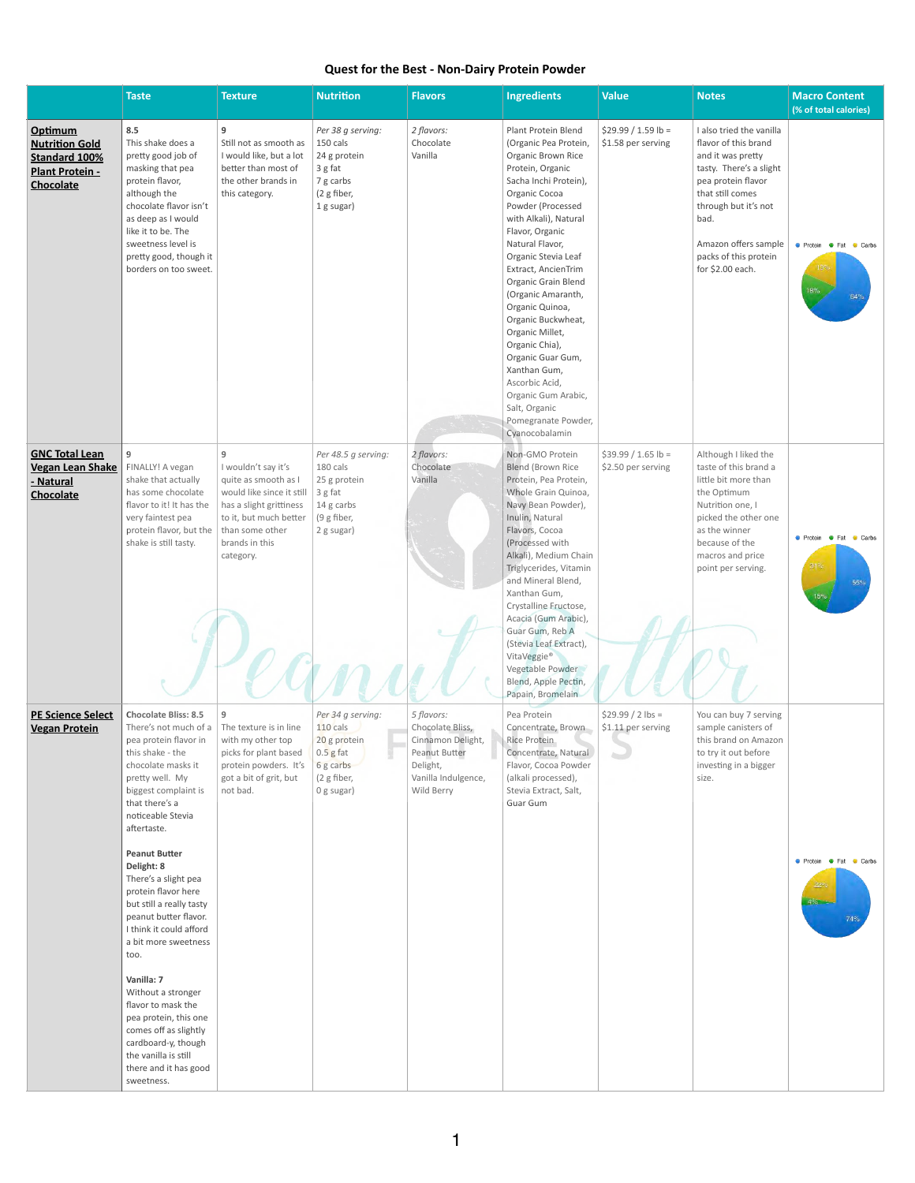## **Quest for the Best - Non-Dairy Protein Powder**

|                                                                                                        | <b>Taste</b>                                                                                                                                                                                                                                                                                                                                                                                                                                                                                                                                                                                                                    | <b>Texture</b>                                                                                                                                                                       | <b>Nutrition</b>                                                                                         | <b>Flavors</b>                                                                                                        | <b>Ingredients</b>                                                                                                                                                                                                                                                                                                                                                                                                                                                                                                                    | <b>Value</b>                               | <b>Notes</b>                                                                                                                                                                                                                                    | <b>Macro Content</b><br>(% of total calories)        |
|--------------------------------------------------------------------------------------------------------|---------------------------------------------------------------------------------------------------------------------------------------------------------------------------------------------------------------------------------------------------------------------------------------------------------------------------------------------------------------------------------------------------------------------------------------------------------------------------------------------------------------------------------------------------------------------------------------------------------------------------------|--------------------------------------------------------------------------------------------------------------------------------------------------------------------------------------|----------------------------------------------------------------------------------------------------------|-----------------------------------------------------------------------------------------------------------------------|---------------------------------------------------------------------------------------------------------------------------------------------------------------------------------------------------------------------------------------------------------------------------------------------------------------------------------------------------------------------------------------------------------------------------------------------------------------------------------------------------------------------------------------|--------------------------------------------|-------------------------------------------------------------------------------------------------------------------------------------------------------------------------------------------------------------------------------------------------|------------------------------------------------------|
| Optimum<br><b>Nutrition Gold</b><br><b>Standard 100%</b><br><b>Plant Protein -</b><br><b>Chocolate</b> | 8.5<br>This shake does a<br>pretty good job of<br>masking that pea<br>protein flavor,<br>although the<br>chocolate flavor isn't<br>as deep as I would<br>like it to be. The<br>sweetness level is<br>pretty good, though it<br>borders on too sweet.                                                                                                                                                                                                                                                                                                                                                                            | 9<br>Still not as smooth as<br>I would like, but a lot<br>better than most of<br>the other brands in<br>this category.                                                               | Per 38 g serving:<br>150 cals<br>24 g protein<br>3 g fat<br>7 g carbs<br>(2 g fiber,<br>1 g sugar)       | 2 flavors:<br>Chocolate<br>Vanilla                                                                                    | Plant Protein Blend<br>(Organic Pea Protein,<br>Organic Brown Rice<br>Protein, Organic<br>Sacha Inchi Protein),<br>Organic Cocoa<br>Powder (Processed<br>with Alkali), Natural<br>Flavor, Organic<br>Natural Flavor,<br>Organic Stevia Leaf<br>Extract, AncienTrim<br>Organic Grain Blend<br>(Organic Amaranth,<br>Organic Quinoa,<br>Organic Buckwheat,<br>Organic Millet,<br>Organic Chia),<br>Organic Guar Gum,<br>Xanthan Gum,<br>Ascorbic Acid,<br>Organic Gum Arabic,<br>Salt, Organic<br>Pomegranate Powder,<br>Cyanocobalamin | $$29.99 / 1.59 lb =$<br>\$1.58 per serving | I also tried the vanilla<br>flavor of this brand<br>and it was pretty<br>tasty. There's a slight<br>pea protein flavor<br>that still comes<br>through but it's not<br>bad.<br>Amazon offers sample<br>packs of this protein<br>for \$2.00 each. | ● Protein ● Fat ● Carbs<br>18%<br>64%                |
| <b>GNC Total Lean</b><br><b>Vegan Lean Shake</b><br>- Natural<br><b>Chocolate</b>                      | 9<br>FINALLY! A vegan<br>shake that actually<br>has some chocolate<br>flavor to it! It has the<br>very faintest pea<br>protein flavor, but the<br>shake is still tasty.                                                                                                                                                                                                                                                                                                                                                                                                                                                         | 9<br>I wouldn't say it's<br>quite as smooth as I<br>would like since it still<br>has a slight grittiness<br>to it, but much better<br>than some other<br>brands in this<br>category. | Per 48.5 g serving:<br>180 cals<br>25 g protein<br>$3$ g fat<br>14 g carbs<br>(9 g fiber,<br>2 g sugar)  | 2 flavors:<br>Chocolate<br>Vanilla                                                                                    | Non-GMO Protein<br><b>Blend (Brown Rice</b><br>Protein, Pea Protein,<br>Whole Grain Quinoa,<br>Navy Bean Powder),<br>Inulin, Natural<br>Flavors, Cocoa<br>(Processed with<br>Alkali), Medium Chain<br>Triglycerides, Vitamin<br>and Mineral Blend,<br>Xanthan Gum,<br>Crystalline Fructose,<br>Acacia (Gum Arabic),<br>Guar Gum, Reb A<br>(Stevia Leaf Extract),<br>VitaVeggie®<br>Vegetable Powder<br>Blend, Apple Pectin,<br>Papain, Bromelain                                                                                      | $$39.99 / 1.65$ lb =<br>\$2.50 per serving | Although I liked the<br>taste of this brand a<br>little bit more than<br>the Optimum<br>Nutrition one, I<br>picked the other one<br>as the winner<br>because of the<br>macros and price<br>point per serving.                                   | ● Protein ● Fat ● Carbs<br>31%<br>55%<br>15%         |
| <b>PE Science Select</b><br><b>Vegan Protein</b>                                                       | <b>Chocolate Bliss: 8.5</b><br>There's not much of a<br>pea protein flavor in<br>this shake - the<br>chocolate masks it<br>pretty well. My<br>biggest complaint is<br>that there's a<br>noticeable Stevia<br>aftertaste.<br><b>Peanut Butter</b><br>Delight: 8<br>There's a slight pea<br>protein flavor here<br>but still a really tasty<br>peanut butter flavor.<br>I think it could afford<br>a bit more sweetness<br>too.<br>Vanilla: 7<br>Without a stronger<br>flavor to mask the<br>pea protein, this one<br>comes off as slightly<br>cardboard-y, though<br>the vanilla is still<br>there and it has good<br>sweetness. | $9\,$<br>The texture is in line<br>with my other top<br>picks for plant based<br>protein powders. It's<br>got a bit of grit, but<br>not bad.                                         | Per 34 g serving:<br>$110$ cals<br>20 g protein<br>$0.5$ g fat<br>6 g carbs<br>(2 g fiber,<br>0 g sugar) | 5 flavors:<br>Chocolate Bliss,<br>Cinnamon Delight,<br>Peanut Butter<br>Delight,<br>Vanilla Indulgence,<br>Wild Berry | Pea Protein<br>Concentrate, Brown<br>Rice Protein<br>Concentrate, Natural<br>Flavor, Cocoa Powder<br>(alkali processed),<br>Stevia Extract, Salt,<br>Guar Gum                                                                                                                                                                                                                                                                                                                                                                         | $$29.99 / 2$ lbs =<br>\$1.11 per serving   | You can buy 7 serving<br>sample canisters of<br>this brand on Amazon<br>to try it out before<br>investing in a bigger<br>size.                                                                                                                  | ● Protein ● Fat ● Carbs<br>$22^{\circ}$<br>4%<br>74% |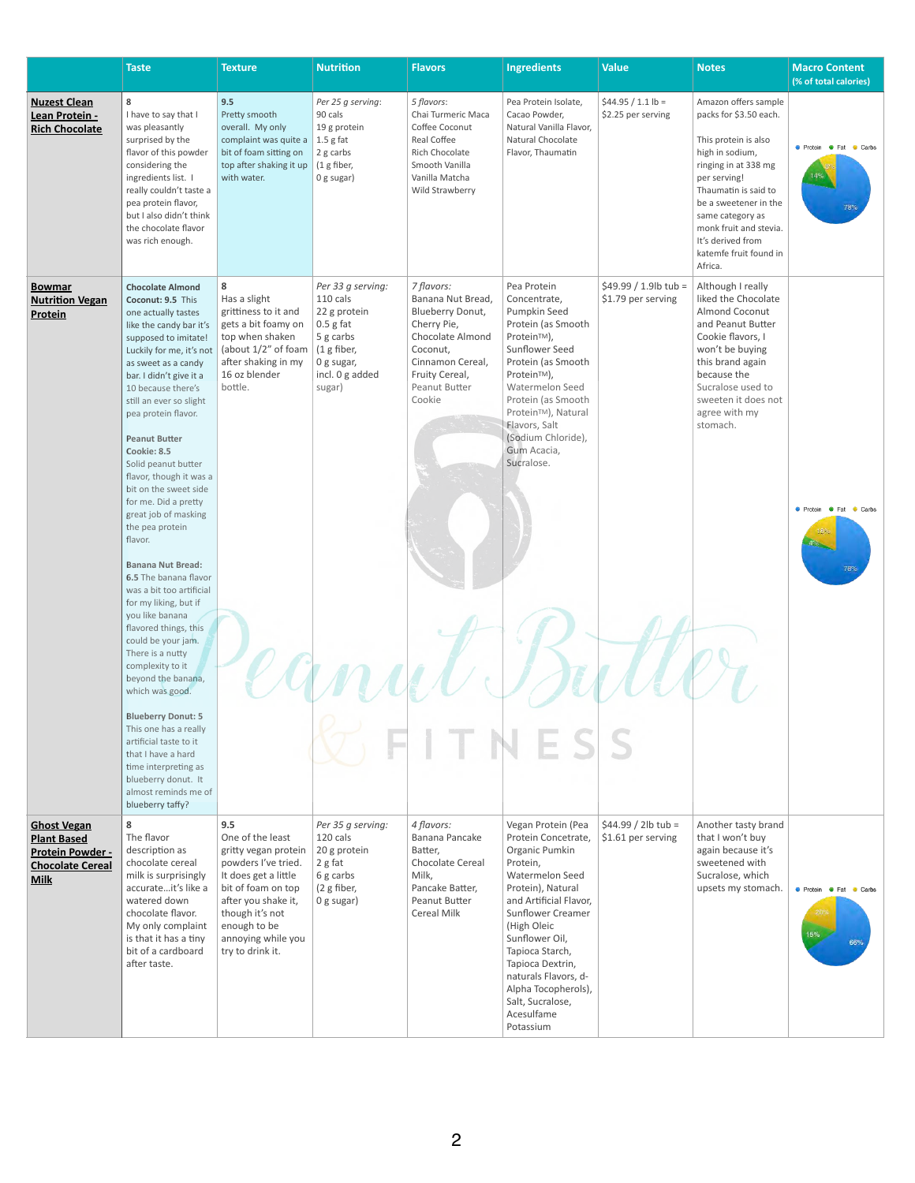|                                                                                                               | <b>Taste</b>                                                                                                                                                                                                                                                                                                                                                                                                                                                                 | <b>Texture</b>                                                                                                                                                                                                           | <b>Nutrition</b>                                                                                                                    | <b>Flavors</b>                                                                                                                                                                    | <b>Ingredients</b>                                                                                                                                                                                                                                                                                                                                 | <b>Value</b>                                  | <b>Notes</b>                                                                                                                                                                                                                                                                               | <b>Macro Content</b><br>(% of total calories)               |
|---------------------------------------------------------------------------------------------------------------|------------------------------------------------------------------------------------------------------------------------------------------------------------------------------------------------------------------------------------------------------------------------------------------------------------------------------------------------------------------------------------------------------------------------------------------------------------------------------|--------------------------------------------------------------------------------------------------------------------------------------------------------------------------------------------------------------------------|-------------------------------------------------------------------------------------------------------------------------------------|-----------------------------------------------------------------------------------------------------------------------------------------------------------------------------------|----------------------------------------------------------------------------------------------------------------------------------------------------------------------------------------------------------------------------------------------------------------------------------------------------------------------------------------------------|-----------------------------------------------|--------------------------------------------------------------------------------------------------------------------------------------------------------------------------------------------------------------------------------------------------------------------------------------------|-------------------------------------------------------------|
| <b>Nuzest Clean</b><br>Lean Protein -<br><b>Rich Chocolate</b>                                                | 8<br>I have to say that I<br>was pleasantly<br>surprised by the<br>flavor of this powder<br>considering the<br>ingredients list. I<br>really couldn't taste a<br>pea protein flavor,<br>but I also didn't think<br>the chocolate flavor<br>was rich enough.                                                                                                                                                                                                                  | 9.5<br>Pretty smooth<br>overall. My only<br>complaint was quite a<br>bit of foam sitting on<br>top after shaking it up<br>with water.                                                                                    | Per 25 g serving:<br>90 cals<br>19 g protein<br>$1.5$ g fat<br>2 g carbs<br>(1 g fiber,<br>0 g sugar)                               | 5 flavors:<br>Chai Turmeric Maca<br>Coffee Coconut<br>Real Coffee<br>Rich Chocolate<br>Smooth Vanilla<br>Vanilla Matcha<br>Wild Strawberry                                        | Pea Protein Isolate,<br>Cacao Powder,<br>Natural Vanilla Flavor,<br>Natural Chocolate<br>Flavor, Thaumatin                                                                                                                                                                                                                                         | $$44.95 / 1.1 lb =$<br>\$2.25 per serving     | Amazon offers sample<br>packs for \$3.50 each.<br>This protein is also<br>high in sodium,<br>ringing in at 338 mg<br>per serving!<br>Thaumatin is said to<br>be a sweetener in the<br>same category as<br>monk fruit and stevia.<br>It's derived from<br>katemfe fruit found in<br>Africa. | <b>•</b> Protein<br>$\bullet$ Fat<br>Carbs<br>78%           |
| <b>Bowmar</b><br><b>Nutrition Vegan</b><br>Protein                                                            | <b>Chocolate Almond</b><br>Coconut: 9.5 This<br>one actually tastes<br>like the candy bar it's<br>supposed to imitate!<br>Luckily for me, it's not<br>as sweet as a candy<br>bar. I didn't give it a<br>10 because there's<br>still an ever so slight<br>pea protein flavor.<br><b>Peanut Butter</b><br>Cookie: 8.5<br>Solid peanut butter<br>flavor, though it was a<br>bit on the sweet side<br>for me. Did a pretty<br>great job of masking<br>the pea protein<br>flavor. | 8<br>Has a slight<br>grittiness to it and<br>gets a bit foamy on<br>top when shaken<br>(about $1/2$ " of foam<br>after shaking in my<br>16 oz blender<br>bottle.                                                         | Per 33 g serving:<br>110 cals<br>22 g protein<br>$0.5$ g fat<br>5 g carbs<br>(1 g fiber,<br>0 g sugar,<br>incl. 0 g added<br>sugar) | 7 flavors:<br>Banana Nut Bread,<br><b>Blueberry Donut,</b><br>Cherry Pie,<br><b>Chocolate Almond</b><br>Coconut,<br>Cinnamon Cereal,<br>Fruity Cereal,<br>Peanut Butter<br>Cookie | Pea Protein<br>Concentrate,<br>Pumpkin Seed<br>Protein (as Smooth<br>Protein™),<br>Sunflower Seed<br>Protein (as Smooth<br>Protein™),<br>Watermelon Seed<br>Protein (as Smooth<br>Protein <sup>™</sup> ), Natural<br>Flavors, Salt<br>(Sodium Chloride),<br>Gum Acacia,<br>Sucralose.                                                              | $$49.99 / 1.9$ lb tub =<br>\$1.79 per serving | Although I really<br>liked the Chocolate<br><b>Almond Coconut</b><br>and Peanut Butter<br>Cookie flavors, I<br>won't be buying<br>this brand again<br>because the<br>Sucralose used to<br>sweeten it does not<br>agree with my<br>stomach.                                                 | • Protein<br>$\bullet$ Fat<br>Carbs                         |
|                                                                                                               | <b>Banana Nut Bread:</b><br>6.5 The banana flavor<br>was a bit too artificial<br>for my liking, but if<br>you like banana<br>flavored things, this<br>could be your jam.<br>There is a nutty<br>complexity to it<br>beyond the banana,<br>which was good.<br><b>Blueberry Donut: 5</b><br>This one has a really<br>artificial taste to it<br>that I have a hard<br>time interpreting as<br>blueberry donut. It<br>almost reminds me of<br>blueberry taffy?                   |                                                                                                                                                                                                                          |                                                                                                                                     |                                                                                                                                                                                   |                                                                                                                                                                                                                                                                                                                                                    |                                               |                                                                                                                                                                                                                                                                                            |                                                             |
| <b>Ghost Vegan</b><br><b>Plant Based</b><br><b>Protein Powder -</b><br><b>Chocolate Cereal</b><br><b>Milk</b> | 8<br>The flavor<br>description as<br>chocolate cereal<br>milk is surprisingly<br>accurateit's like a<br>watered down<br>chocolate flavor.<br>My only complaint<br>is that it has a tiny<br>bit of a cardboard<br>after taste.                                                                                                                                                                                                                                                | 9.5<br>One of the least<br>gritty vegan protein<br>powders I've tried.<br>It does get a little<br>bit of foam on top<br>after you shake it,<br>though it's not<br>enough to be<br>annoying while you<br>try to drink it. | Per 35 g serving:<br>120 cals<br>20 g protein<br>2 g fat<br>6 g carbs<br>(2 g fiber,<br>$0$ g sugar)                                | 4 flavors:<br>Banana Pancake<br>Batter,<br>Chocolate Cereal<br>Milk,<br>Pancake Batter,<br>Peanut Butter<br><b>Cereal Milk</b>                                                    | Vegan Protein (Pea<br>Protein Concetrate,<br>Organic Pumkin<br>Protein,<br><b>Watermelon Seed</b><br>Protein), Natural<br>and Artificial Flavor,<br><b>Sunflower Creamer</b><br>(High Oleic<br>Sunflower Oil,<br>Tapioca Starch,<br>Tapioca Dextrin,<br>naturals Flavors, d-<br>Alpha Tocopherols),<br>Salt, Sucralose,<br>Acesulfame<br>Potassium | $$44.99 / 2 lb$ tub =<br>\$1.61 per serving   | Another tasty brand<br>that I won't buy<br>again because it's<br>sweetened with<br>Sucralose, which<br>upsets my stomach.                                                                                                                                                                  | <b>O</b> Protein <b>O</b> Fat<br>Carbs<br>205<br>15%<br>66% |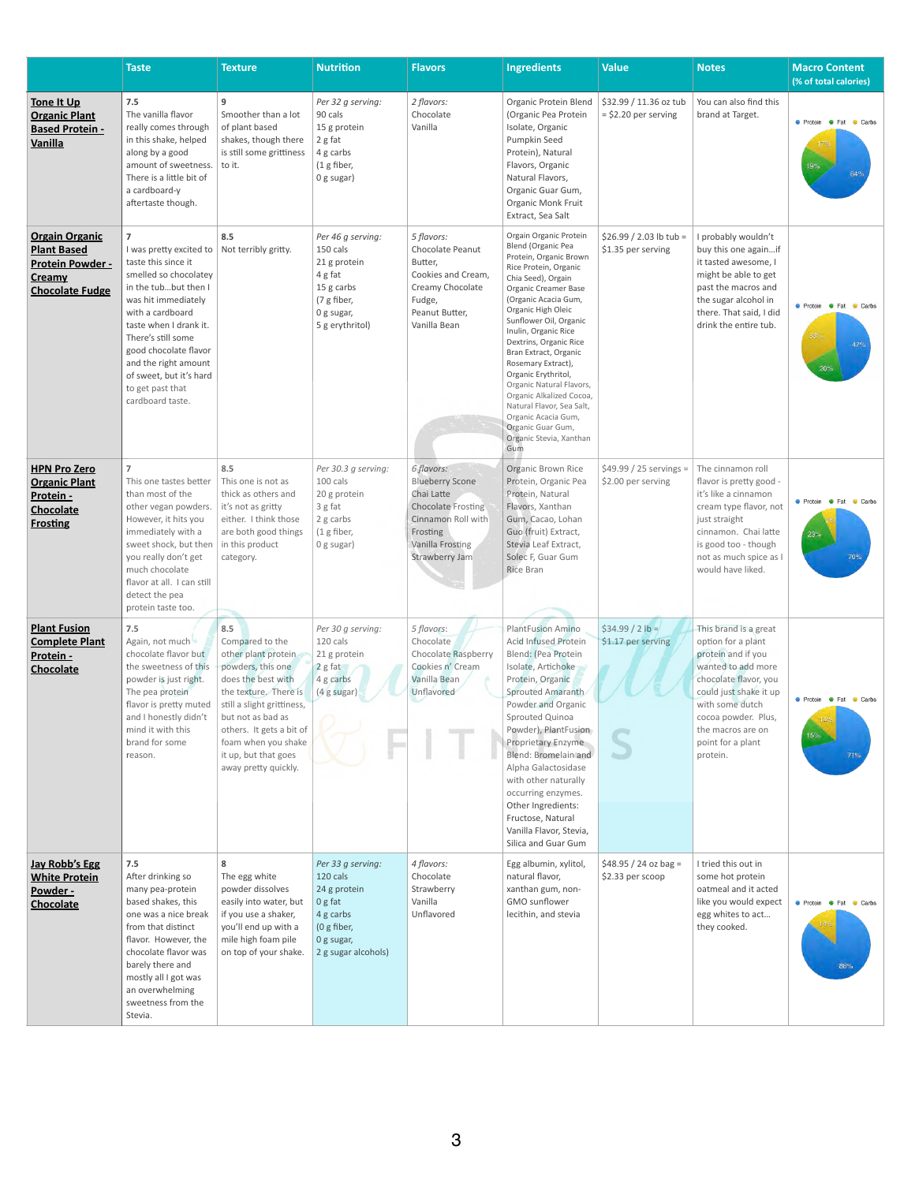|                                                                                                     | <b>Taste</b>                                                                                                                                                                                                                                                                                                                     | <b>Texture</b>                                                                                                                                                                                                                                                          | <b>Nutrition</b>                                                                                                          | <b>Flavors</b>                                                                                                                                          | <b>Ingredients</b>                                                                                                                                                                                                                                                                                                                                                                                                                                                                                                      | <b>Value</b>                                     | <b>Notes</b>                                                                                                                                                                                                                               | <b>Macro Content</b><br>(% of total calories) |
|-----------------------------------------------------------------------------------------------------|----------------------------------------------------------------------------------------------------------------------------------------------------------------------------------------------------------------------------------------------------------------------------------------------------------------------------------|-------------------------------------------------------------------------------------------------------------------------------------------------------------------------------------------------------------------------------------------------------------------------|---------------------------------------------------------------------------------------------------------------------------|---------------------------------------------------------------------------------------------------------------------------------------------------------|-------------------------------------------------------------------------------------------------------------------------------------------------------------------------------------------------------------------------------------------------------------------------------------------------------------------------------------------------------------------------------------------------------------------------------------------------------------------------------------------------------------------------|--------------------------------------------------|--------------------------------------------------------------------------------------------------------------------------------------------------------------------------------------------------------------------------------------------|-----------------------------------------------|
| Tone It Up<br><b>Organic Plant</b><br><b>Based Protein -</b><br><b>Vanilla</b>                      | 7.5<br>The vanilla flavor<br>really comes through<br>in this shake, helped<br>along by a good<br>amount of sweetness.<br>There is a little bit of<br>a cardboard-y<br>aftertaste though.                                                                                                                                         | 9<br>Smoother than a lot<br>of plant based<br>shakes, though there<br>is still some grittiness<br>to it.                                                                                                                                                                | Per 32 g serving:<br>90 cals<br>15 g protein<br>2 g fat<br>4 g carbs<br>(1 g fiber,<br>$0$ g sugar)                       | 2 flavors:<br>Chocolate<br>Vanilla                                                                                                                      | Organic Protein Blend<br>(Organic Pea Protein<br>Isolate, Organic<br>Pumpkin Seed<br>Protein), Natural<br>Flavors, Organic<br>Natural Flavors,<br>Organic Guar Gum,<br>Organic Monk Fruit<br>Extract, Sea Salt                                                                                                                                                                                                                                                                                                          | \$32.99 / 11.36 oz tub<br>$=$ \$2.20 per serving | You can also find this<br>brand at Target.                                                                                                                                                                                                 | ● Protein ● Fat<br>Carbs<br>19%<br>64%        |
| <b>Orgain Organic</b><br><b>Plant Based</b><br>Protein Powder -<br>Creamy<br><b>Chocolate Fudge</b> | $\overline{7}$<br>I was pretty excited to<br>taste this since it<br>smelled so chocolatey<br>in the tubbut then I<br>was hit immediately<br>with a cardboard<br>taste when I drank it.<br>There's still some<br>good chocolate flavor<br>and the right amount<br>of sweet, but it's hard<br>to get past that<br>cardboard taste. | 8.5<br>Not terribly gritty.                                                                                                                                                                                                                                             | Per 46 g serving:<br>150 cals<br>21 g protein<br>4 g fat<br>15 g carbs<br>(7 g fiber,<br>0 g sugar,<br>5 g erythritol)    | 5 flavors:<br>Chocolate Peanut<br>Butter,<br>Cookies and Cream,<br>Creamy Chocolate<br>Fudge,<br>Peanut Butter,<br>Vanilla Bean                         | Orgain Organic Protein<br>Blend (Organic Pea<br>Protein, Organic Brown<br>Rice Protein, Organic<br>Chia Seed), Orgain<br><b>Organic Creamer Base</b><br>(Organic Acacia Gum,<br>Organic High Oleic<br>Sunflower Oil, Organic<br>Inulin, Organic Rice<br>Dextrins, Organic Rice<br>Bran Extract, Organic<br>Rosemary Extract),<br>Organic Erythritol,<br>Organic Natural Flavors,<br>Organic Alkalized Cocoa,<br>Natural Flavor, Sea Salt,<br>Organic Acacia Gum,<br>Organic Guar Gum,<br>Organic Stevia, Xanthan<br>Gum | $$26.99 / 2.03$ lb tub =<br>\$1.35 per serving   | I probably wouldn't<br>buy this one againif<br>it tasted awesome, I<br>might be able to get<br>past the macros and<br>the sugar alcohol in<br>there. That said, I did<br>drink the entire tub.                                             | ● Protein ● Fat<br>Carbs<br>33%<br>47%<br>20% |
| <b>HPN Pro Zero</b><br><b>Organic Plant</b><br>Protein -<br><b>Chocolate</b><br><b>Frosting</b>     | 7<br>This one tastes better<br>than most of the<br>other vegan powders.<br>However, it hits you<br>immediately with a<br>sweet shock, but then<br>you really don't get<br>much chocolate<br>flavor at all. I can still<br>detect the pea<br>protein taste too.                                                                   | 8.5<br>This one is not as<br>thick as others and<br>it's not as gritty<br>either. I think those<br>are both good things<br>in this product<br>category.                                                                                                                 | Per 30.3 g serving:<br>100 cals<br>20 g protein<br>3 g fat<br>2 g carbs<br>$(1$ g fiber,<br>0 g sugar)                    | 6 flavors:<br><b>Blueberry Scone</b><br>Chai Latte<br><b>Chocolate Frosting</b><br>Cinnamon Roll with<br>Frosting<br>Vanilla Frosting<br>Strawberry Jam | <b>Organic Brown Rice</b><br>Protein, Organic Pea<br>Protein, Natural<br>Flavors, Xanthan<br>Gum, Cacao, Lohan<br>Guo (fruit) Extract,<br>Stevia Leaf Extract,<br>Solec F, Guar Gum<br><b>Rice Bran</b>                                                                                                                                                                                                                                                                                                                 | $$49.99 / 25$ servings =<br>\$2.00 per serving   | The cinnamon roll<br>flavor is pretty good -<br>it's like a cinnamon<br>cream type flavor, not<br>just straight<br>cinnamon. Chai latte<br>is good too - though<br>not as much spice as I<br>would have liked.                             | ● Protein ● Fat ● Carbs<br>23%<br>70%         |
| <b>Plant Fusion</b><br><b>Complete Plant</b><br>Protein -<br><b>Chocolate</b>                       | 7.5<br>Again, not much<br>chocolate flavor but<br>the sweetness of this<br>powder is just right.<br>The pea protein<br>flavor is pretty muted<br>and I honestly didn't<br>mind it with this<br>brand for some<br>reason.                                                                                                         | 8.5<br>Compared to the<br>other plant protein<br>powders, this one<br>does the best with<br>the texture. There is<br>still a slight grittiness,<br>but not as bad as<br>others. It gets a bit of<br>foam when you shake<br>it up, but that goes<br>away pretty quickly. | Per 30 g serving:<br>120 cals<br>21 g protein<br>$2g$ fat<br>4 g carbs<br>(4 g sugar)                                     | 5 flavors:<br>Chocolate<br><b>Chocolate Raspberry</b><br>Cookies n' Cream<br>Vanilla Bean<br>Unflavored                                                 | <b>PlantFusion Amino</b><br>Acid Infused Protein<br>Blend: (Pea Protein<br>Isolate, Artichoke<br>Protein, Organic<br>Sprouted Amaranth<br>Powder and Organic<br>Sprouted Quinoa<br>Powder), PlantFusion<br>Proprietary Enzyme<br>Blend: Bromelain and<br>Alpha Galactosidase<br>with other naturally<br>occurring enzymes.<br>Other Ingredients:<br>Fructose, Natural<br>Vanilla Flavor, Stevia,<br>Silica and Guar Gum                                                                                                 | $$34.99 / 2 lb =$<br>\$1.17 per serving          | This brand is a great<br>option for a plant<br>protein and if you<br>wanted to add more<br>chocolate flavor, you<br>could just shake it up<br>with some dutch<br>cocoa powder. Plus,<br>the macros are on<br>point for a plant<br>protein. | <b>O</b> Protein <b>O</b> Fat Carbs<br>15%    |
| <b>Jay Robb's Egg</b><br><b>White Protein</b><br>Powder -<br><b>Chocolate</b>                       | 7.5<br>After drinking so<br>many pea-protein<br>based shakes, this<br>one was a nice break<br>from that distinct<br>flavor. However, the<br>chocolate flavor was<br>barely there and<br>mostly all I got was<br>an overwhelming<br>sweetness from the<br>Stevia.                                                                 | 8<br>The egg white<br>powder dissolves<br>easily into water, but<br>if you use a shaker,<br>you'll end up with a<br>mile high foam pile<br>on top of your shake.                                                                                                        | Per 33 g serving:<br>120 cals<br>24 g protein<br>0 g fat<br>4 g carbs<br>(0 g fiber,<br>0 g sugar,<br>2 g sugar alcohols) | 4 flavors:<br>Chocolate<br>Strawberry<br>Vanilla<br>Unflavored                                                                                          | Egg albumin, xylitol,<br>natural flavor,<br>xanthan gum, non-<br>GMO sunflower<br>lecithin, and stevia                                                                                                                                                                                                                                                                                                                                                                                                                  | $$48.95 / 24$ oz bag =<br>\$2.33 per scoop       | I tried this out in<br>some hot protein<br>oatmeal and it acted<br>like you would expect<br>egg whites to act<br>they cooked.                                                                                                              | <b>C</b> Protein <b>C</b> Fat<br>Carbs<br>86% |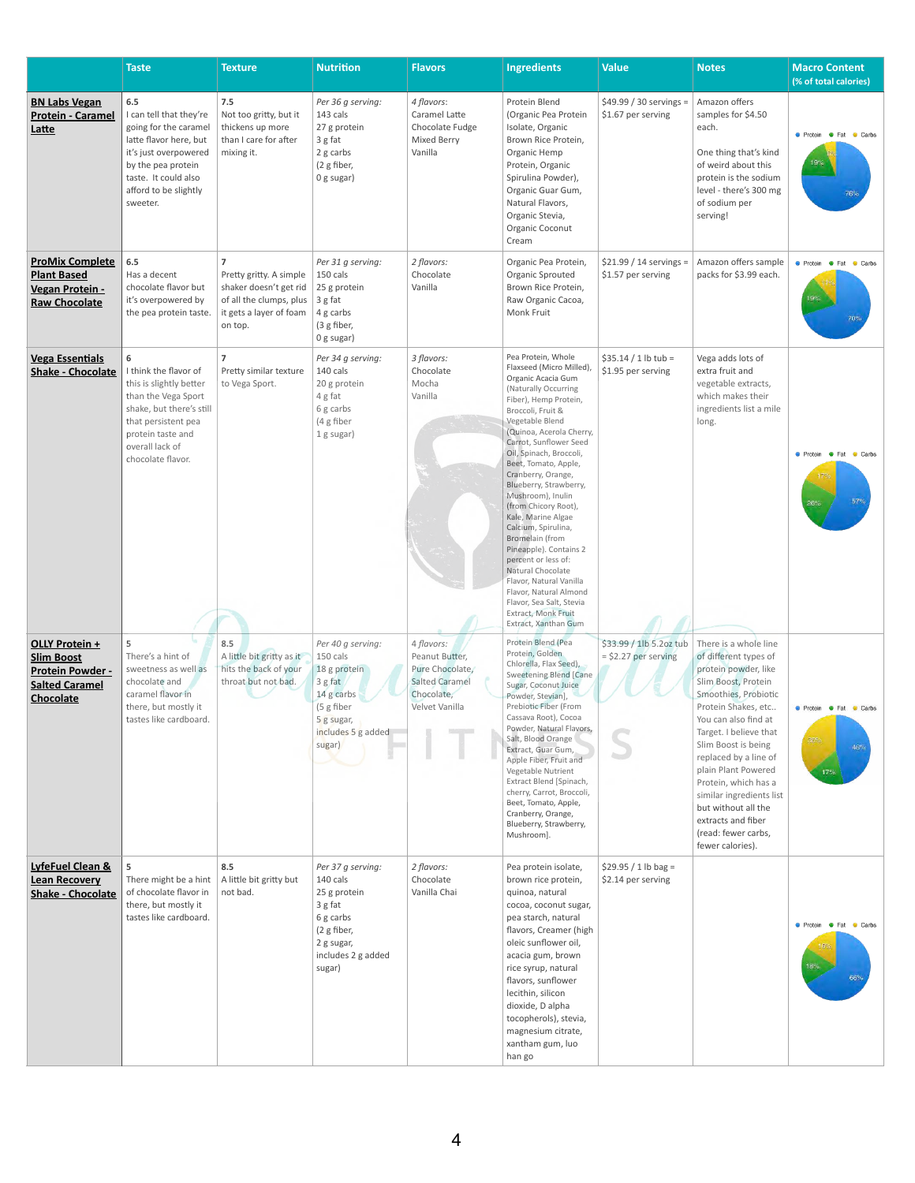|                                                                                                             | <b>Taste</b>                                                                                                                                                                                  | <b>Texture</b>                                                                                                                       | <b>Nutrition</b>                                                                                                                   | <b>Flavors</b>                                                                                           | <b>Ingredients</b>                                                                                                                                                                                                                                                                                                                                                                                                                                                                                                                                                                                                                              | <b>Value</b>                                      | <b>Notes</b>                                                                                                                                                                                                                                                                                                                                                                                                      | <b>Macro Content</b><br>(% of total calories)               |
|-------------------------------------------------------------------------------------------------------------|-----------------------------------------------------------------------------------------------------------------------------------------------------------------------------------------------|--------------------------------------------------------------------------------------------------------------------------------------|------------------------------------------------------------------------------------------------------------------------------------|----------------------------------------------------------------------------------------------------------|-------------------------------------------------------------------------------------------------------------------------------------------------------------------------------------------------------------------------------------------------------------------------------------------------------------------------------------------------------------------------------------------------------------------------------------------------------------------------------------------------------------------------------------------------------------------------------------------------------------------------------------------------|---------------------------------------------------|-------------------------------------------------------------------------------------------------------------------------------------------------------------------------------------------------------------------------------------------------------------------------------------------------------------------------------------------------------------------------------------------------------------------|-------------------------------------------------------------|
| <b>BN Labs Vegan</b><br><b>Protein - Caramel</b><br>Latte                                                   | 6.5<br>I can tell that they're<br>going for the caramel<br>latte flavor here, but<br>it's just overpowered<br>by the pea protein<br>taste. It could also<br>afford to be slightly<br>sweeter. | 7.5<br>Not too gritty, but it<br>thickens up more<br>than I care for after<br>mixing it.                                             | Per 36 g serving:<br>143 cals<br>27 g protein<br>3 g fat<br>2 g carbs<br>(2 g fiber,<br>0 g sugar)                                 | 4 flavors:<br>Caramel Latte<br>Chocolate Fudge<br>Mixed Berry<br>Vanilla                                 | Protein Blend<br>(Organic Pea Protein<br>Isolate, Organic<br>Brown Rice Protein,<br>Organic Hemp<br>Protein, Organic<br>Spirulina Powder),<br>Organic Guar Gum,<br>Natural Flavors,<br>Organic Stevia,<br>Organic Coconut<br>Cream                                                                                                                                                                                                                                                                                                                                                                                                              | \$49.99 / 30 servings =<br>\$1.67 per serving     | Amazon offers<br>samples for \$4.50<br>each.<br>One thing that's kind<br>of weird about this<br>protein is the sodium<br>level - there's 300 mg<br>of sodium per<br>serving!                                                                                                                                                                                                                                      | <b>C</b> Protein <b>C</b> Fat<br>Carbs<br>76%               |
| <b>ProMix Complete</b><br><b>Plant Based</b><br>Vegan Protein -<br><b>Raw Chocolate</b>                     | 6.5<br>Has a decent<br>chocolate flavor but<br>it's overpowered by<br>the pea protein taste.                                                                                                  | $\overline{7}$<br>Pretty gritty. A simple<br>shaker doesn't get rid<br>of all the clumps, plus<br>it gets a layer of foam<br>on top. | Per 31 g serving:<br>150 cals<br>25 g protein<br>3 g fat<br>4 g carbs<br>(3 g fiber,<br>0 g sugar)                                 | 2 flavors:<br>Chocolate<br>Vanilla                                                                       | Organic Pea Protein,<br>Organic Sprouted<br>Brown Rice Protein,<br>Raw Organic Cacoa,<br>Monk Fruit                                                                                                                                                                                                                                                                                                                                                                                                                                                                                                                                             | $$21.99 / 14$ servings =<br>\$1.57 per serving    | Amazon offers sample<br>packs for \$3.99 each.                                                                                                                                                                                                                                                                                                                                                                    | <b>O</b> Protein <b>O</b> Fat<br>Carbs                      |
| <b>Vega Essentials</b><br><b>Shake - Chocolate</b>                                                          | 6<br>I think the flavor of<br>this is slightly better<br>than the Vega Sport<br>shake, but there's still<br>that persistent pea<br>protein taste and<br>overall lack of<br>chocolate flavor.  | $\overline{7}$<br>Pretty similar texture<br>to Vega Sport.                                                                           | Per 34 g serving:<br>140 cals<br>20 g protein<br>4 g fat<br>6 g carbs<br>(4 g fiber<br>1 g sugar)                                  | 3 flavors:<br>Chocolate<br>Mocha<br>Vanilla                                                              | Pea Protein, Whole<br>Flaxseed (Micro Milled)<br>Organic Acacia Gum<br>(Naturally Occurring<br>Fiber), Hemp Protein,<br>Broccoli, Fruit &<br>Vegetable Blend<br>(Quinoa, Acerola Cherry,<br>Carrot, Sunflower Seed<br>Oil, Spinach, Broccoli,<br>Beet, Tomato, Apple,<br>Cranberry, Orange,<br>Blueberry, Strawberry,<br>Mushroom), Inulin<br>(from Chicory Root),<br>Kale, Marine Algae<br>Calcium, Spirulina,<br><b>Bromelain</b> (from<br>Pineapple). Contains 2<br>percent or less of:<br>Natural Chocolate<br>Flavor, Natural Vanilla<br>Flavor, Natural Almond<br>Flavor, Sea Salt, Stevia<br>Extract, Monk Fruit<br>Extract, Xanthan Gum | $$35.14 / 1 lb$ tub =<br>\$1.95 per serving       | Vega adds lots of<br>extra fruit and<br>vegetable extracts,<br>which makes their<br>ingredients list a mile<br>long.                                                                                                                                                                                                                                                                                              | <b>C</b> Protein <b>C</b> Fat<br>Carbs<br>57%<br>$26^\circ$ |
| OLLY Protein +<br><b>Slim Boost</b><br><b>Protein Powder -</b><br><b>Salted Caramel</b><br><b>Chocolate</b> | 5<br>There's a hint of<br>sweetness as well as<br>chocolate and<br>caramel flavor in<br>there, but mostly it<br>tastes like cardboard.                                                        | 8.5<br>A little bit gritty as it<br>hits the back of your<br>throat but not bad.                                                     | Per 40 g serving:<br>150 cals<br>18 g protein<br>3 g fat<br>14 g carbs<br>(5 g fiber<br>5g sugar,<br>includes 5 g added<br>sugar)  | 4 flavors:<br>Peanut Butter,<br>Pure Chocolate,<br><b>Salted Caramel</b><br>Chocolate,<br>Velvet Vanilla | Protein Blend (Pea<br>Protein, Golden<br>Chlorella, Flax Seed),<br>Sweetening Blend [Cane<br>Sugar, Coconut Juice<br>Powder, Stevian],<br>Prebiotic Fiber (From<br>Cassava Root), Cocoa<br>Powder, Natural Flavors,<br>Salt, Blood Orange<br>Extract, Guar Gum,<br>Apple Fiber, Fruit and<br>Vegetable Nutrient<br>Extract Blend [Spinach,<br>cherry, Carrot, Broccoli,<br>Beet, Tomato, Apple,<br>Cranberry, Orange,<br>Blueberry, Strawberry,<br>Mushroom].                                                                                                                                                                                   | \$33.99 / 1lb 5.2oz tub<br>$=$ \$2.27 per serving | There is a whole line<br>of different types of<br>protein powder, like<br>Slim Boost, Protein<br>Smoothies, Probiotic<br>Protein Shakes, etc<br>You can also find at<br>Target. I believe that<br>Slim Boost is being<br>replaced by a line of<br>plain Plant Powered<br>Protein, which has a<br>similar ingredients list<br>but without all the<br>extracts and fiber<br>(read: fewer carbs,<br>fewer calories). | ● Protein ● Fat<br>Carbs<br>86%<br>46%<br>17%               |
| LyfeFuel Clean &<br><b>Lean Recovery</b><br><b>Shake - Chocolate</b>                                        | 5<br>There might be a hint<br>of chocolate flavor in<br>there, but mostly it<br>tastes like cardboard.                                                                                        | 8.5<br>A little bit gritty but<br>not bad.                                                                                           | Per 37 g serving:<br>140 cals<br>25 g protein<br>3 g fat<br>6 g carbs<br>(2 g fiber,<br>2 g sugar,<br>includes 2 g added<br>sugar) | 2 flavors:<br>Chocolate<br>Vanilla Chai                                                                  | Pea protein isolate,<br>brown rice protein,<br>quinoa, natural<br>cocoa, coconut sugar,<br>pea starch, natural<br>flavors, Creamer (high<br>oleic sunflower oil,<br>acacia gum, brown<br>rice syrup, natural<br>flavors, sunflower<br>lecithin, silicon<br>dioxide, D alpha<br>tocopherols), stevia,<br>magnesium citrate,<br>xantham gum, luo<br>han go                                                                                                                                                                                                                                                                                        | $$29.95 / 1 lb$ bag =<br>\$2.14 per serving       |                                                                                                                                                                                                                                                                                                                                                                                                                   | ● Protein ● Fat ● Carbs<br>18%<br>66%                       |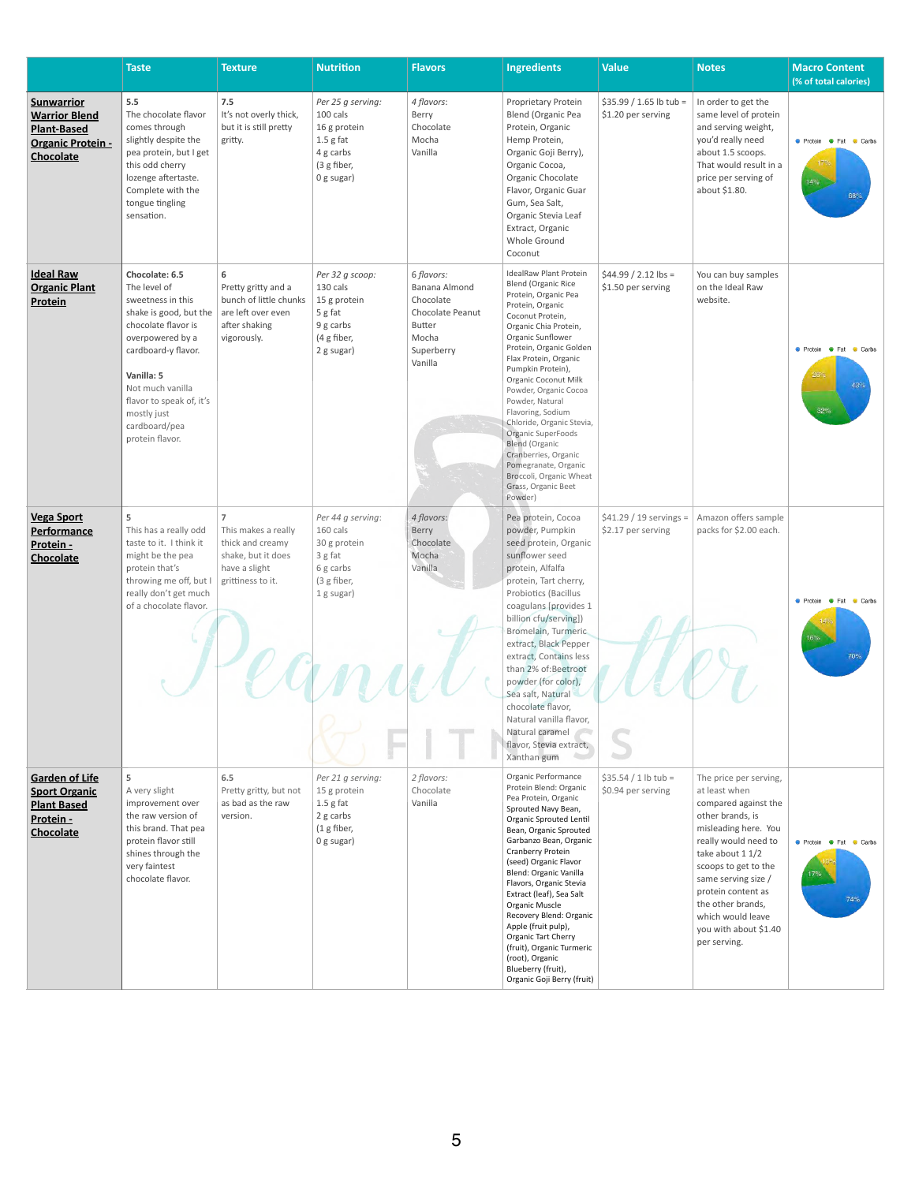|                                                                                                          | <b>Taste</b>                                                                                                                                                                                                                                                                            | <b>Texture</b>                                                                                                        | <b>Nutrition</b>                                                                                         | <b>Flavors</b>                                                                                                  | <b>Ingredients</b>                                                                                                                                                                                                                                                                                                                                                                                                                                                                                                            | <b>Value</b>                                   | <b>Notes</b>                                                                                                                                                                                                                                                                                                    | <b>Macro Content</b><br>(% of total calories)                               |
|----------------------------------------------------------------------------------------------------------|-----------------------------------------------------------------------------------------------------------------------------------------------------------------------------------------------------------------------------------------------------------------------------------------|-----------------------------------------------------------------------------------------------------------------------|----------------------------------------------------------------------------------------------------------|-----------------------------------------------------------------------------------------------------------------|-------------------------------------------------------------------------------------------------------------------------------------------------------------------------------------------------------------------------------------------------------------------------------------------------------------------------------------------------------------------------------------------------------------------------------------------------------------------------------------------------------------------------------|------------------------------------------------|-----------------------------------------------------------------------------------------------------------------------------------------------------------------------------------------------------------------------------------------------------------------------------------------------------------------|-----------------------------------------------------------------------------|
| <b>Sunwarrior</b><br><b>Warrior Blend</b><br><b>Plant-Based</b><br><b>Organic Protein -</b><br>Chocolate | 5.5<br>The chocolate flavor<br>comes through<br>slightly despite the<br>pea protein, but I get<br>this odd cherry<br>lozenge aftertaste.<br>Complete with the<br>tongue tingling<br>sensation.                                                                                          | 7.5<br>It's not overly thick,<br>but it is still pretty<br>gritty.                                                    | Per 25 g serving:<br>100 cals<br>16 g protein<br>$1.5$ g fat<br>4 g carbs<br>(3 g fiber,<br>$0$ g sugar) | 4 flavors:<br>Berry<br>Chocolate<br>Mocha<br>Vanilla                                                            | Proprietary Protein<br>Blend (Organic Pea<br>Protein, Organic<br>Hemp Protein,<br>Organic Goji Berry),<br>Organic Cocoa,<br>Organic Chocolate<br>Flavor, Organic Guar<br>Gum, Sea Salt,<br>Organic Stevia Leaf<br>Extract, Organic<br>Whole Ground<br>Coconut                                                                                                                                                                                                                                                                 | $$35.99 / 1.65$ lb tub =<br>\$1.20 per serving | In order to get the<br>same level of protein<br>and serving weight,<br>you'd really need<br>about 1.5 scoops.<br>That would result in a<br>price per serving of<br>about \$1.80.                                                                                                                                | <b>O</b> Protein <b>O</b> Fat Carbs<br>14%<br>68%                           |
| <b>Ideal Raw</b><br><b>Organic Plant</b><br><b>Protein</b>                                               | Chocolate: 6.5<br>The level of<br>sweetness in this<br>shake is good, but the $ $ are left over even<br>chocolate flavor is<br>overpowered by a<br>cardboard-y flavor.<br>Vanilla: 5<br>Not much vanilla<br>flavor to speak of, it's<br>mostly just<br>cardboard/pea<br>protein flavor. | 6<br>Pretty gritty and a<br>bunch of little chunks<br>after shaking<br>vigorously.                                    | Per 32 g scoop:<br>130 cals<br>15 g protein<br>5 g fat<br>9 g carbs<br>(4 g fiber,<br>2 g sugar)         | 6 flavors:<br>Banana Almond<br>Chocolate<br>Chocolate Peanut<br><b>Butter</b><br>Mocha<br>Superberry<br>Vanilla | IdealRaw Plant Protein<br><b>Blend (Organic Rice</b><br>Protein, Organic Pea<br>Protein, Organic<br>Coconut Protein,<br>Organic Chia Protein,<br>Organic Sunflower<br>Protein, Organic Golden<br>Flax Protein, Organic<br>Pumpkin Protein),<br>Organic Coconut Milk<br>Powder, Organic Cocoa<br>Powder, Natural<br>Flavoring, Sodium<br>Chloride, Organic Stevia,<br>Organic SuperFoods<br><b>Blend (Organic</b><br>Cranberries, Organic<br>Pomegranate, Organic<br>Broccoli, Organic Wheat<br>Grass, Organic Beet<br>Powder) | $$44.99 / 2.12$ lbs =<br>\$1.50 per serving    | You can buy samples<br>on the Ideal Raw<br>website.                                                                                                                                                                                                                                                             | <b>C</b> Protein <b>C</b> Fat<br>Carbs<br>26 <sub>1</sub><br>43%<br>32%     |
| <b>Vega Sport</b><br><b>Performance</b><br>Protein -<br>Chocolate                                        | 5<br>This has a really odd<br>taste to it. I think it<br>might be the pea<br>protein that's<br>throwing me off, but I<br>really don't get much<br>of a chocolate flavor.                                                                                                                | $\overline{7}$<br>This makes a really<br>thick and creamy<br>shake, but it does<br>have a slight<br>grittiness to it. | Per 44 g serving:<br>160 cals<br>30 g protein<br>3 g fat<br>6 g carbs<br>(3 g fiber,<br>1 g sugar)       | 4 flavors:<br>Berry<br>Chocolate<br>Mocha<br>Vanilla                                                            | Pea protein, Cocoa<br>powder, Pumpkin<br>seed protein, Organic<br>sunflower seed<br>protein, Alfalfa<br>protein, Tart cherry,<br>Probiotics (Bacillus<br>coagulans [provides 1<br>billion cfu/serving])<br>Bromelain, Turmeric<br>extract, Black Pepper<br>extract, Contains less<br>than 2% of:Beetroot<br>powder (for color),<br>Sea salt, Natural<br>chocolate flavor,<br>Natural vanilla flavor,<br>Natural caramel<br>flavor, Stevia extract,<br>Xanthan gum                                                             | $$41.29 / 19$ servings =<br>\$2.17 per serving | Amazon offers sample<br>packs for \$2.00 each.                                                                                                                                                                                                                                                                  | <b>O</b> Protein <b>O</b> Fat<br>Carbs<br>16%<br><b>70%</b>                 |
| <b>Garden of Life</b><br><b>Sport Organic</b><br><b>Plant Based</b><br>Protein -<br><b>Chocolate</b>     | 5<br>A very slight<br>improvement over<br>the raw version of<br>this brand. That pea<br>protein flavor still<br>shines through the<br>very faintest<br>chocolate flavor.                                                                                                                | 6.5<br>Pretty gritty, but not<br>as bad as the raw<br>version.                                                        | Per 21 g serving:<br>15 g protein<br>$1.5$ g fat<br>2 g carbs<br>(1 g fiber,<br>0 g sugar)               | 2 flavors:<br>Chocolate<br>Vanilla                                                                              | Organic Performance<br>Protein Blend: Organic<br>Pea Protein, Organic<br>Sprouted Navy Bean,<br>Organic Sprouted Lentil<br>Bean, Organic Sprouted<br>Garbanzo Bean, Organic<br>Cranberry Protein<br>(seed) Organic Flavor<br>Blend: Organic Vanilla<br>Flavors, Organic Stevia<br>Extract (leaf), Sea Salt<br>Organic Muscle<br>Recovery Blend: Organic<br>Apple (fruit pulp),<br>Organic Tart Cherry<br>(fruit), Organic Turmeric<br>(root), Organic<br>Blueberry (fruit),<br>Organic Goji Berry (fruit)                     | $$35.54 / 1 lb$ tub =<br>\$0.94 per serving    | The price per serving,<br>at least when<br>compared against the<br>other brands, is<br>misleading here. You<br>really would need to<br>take about 1 1/2<br>scoops to get to the<br>same serving size /<br>protein content as<br>the other brands,<br>which would leave<br>you with about \$1.40<br>per serving. | <b>Community</b> Protein <b>Community</b> Pat<br><b>Carbs</b><br>17%<br>74% |